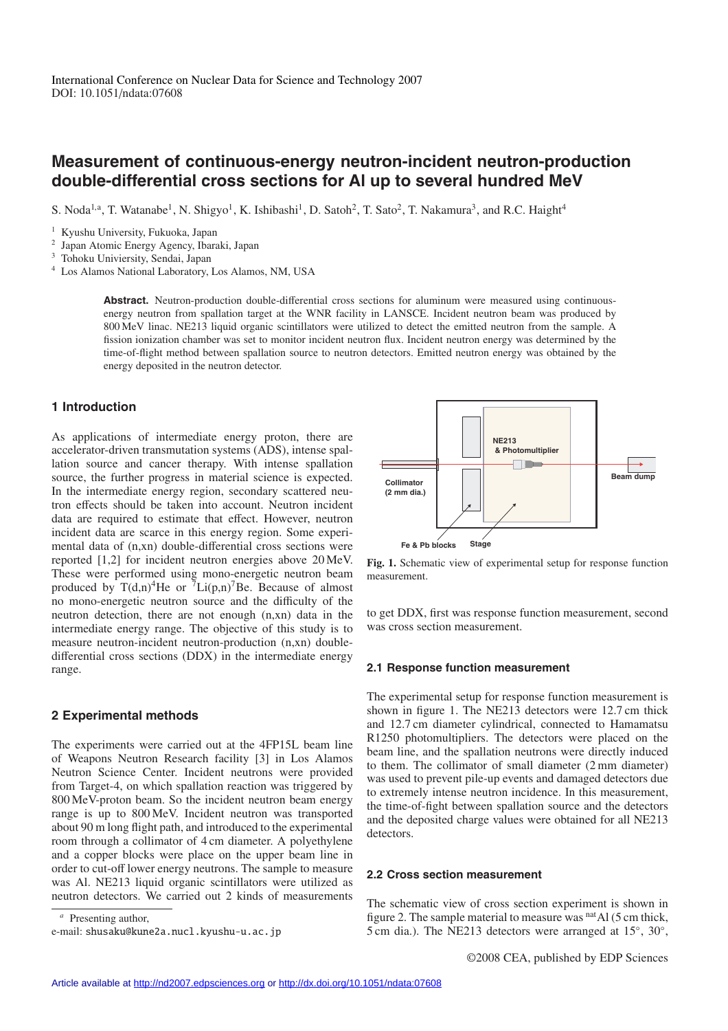# **Measurement of continuous-energy neutron-incident neutron-production double-differential cross sections for Al up to several hundred MeV**

S. Noda<sup>1,a</sup>, T. Watanabe<sup>1</sup>, N. Shigyo<sup>1</sup>, K. Ishibashi<sup>1</sup>, D. Satoh<sup>2</sup>, T. Sato<sup>2</sup>, T. Nakamura<sup>3</sup>, and R.C. Haight<sup>4</sup>

<sup>1</sup> Kyushu University, Fukuoka, Japan

<sup>2</sup> Japan Atomic Energy Agency, Ibaraki, Japan

<sup>3</sup> Tohoku Univiersity, Sendai, Japan

<sup>4</sup> Los Alamos National Laboratory, Los Alamos, NM, USA

Abstract. Neutron-production double-differential cross sections for aluminum were measured using continuousenergy neutron from spallation target at the WNR facility in LANSCE. Incident neutron beam was produced by 800 MeV linac. NE213 liquid organic scintillators were utilized to detect the emitted neutron from the sample. A fission ionization chamber was set to monitor incident neutron flux. Incident neutron energy was determined by the time-of-flight method between spallation source to neutron detectors. Emitted neutron energy was obtained by the energy deposited in the neutron detector.

# **1 Introduction**

As applications of intermediate energy proton, there are accelerator-driven transmutation systems (ADS), intense spallation source and cancer therapy. With intense spallation source, the further progress in material science is expected. In the intermediate energy region, secondary scattered neutron effects should be taken into account. Neutron incident data are required to estimate that effect. However, neutron incident data are scarce in this energy region. Some experimental data of (n,xn) double-differential cross sections were reported [1,2] for incident neutron energies above 20 MeV. These were performed using mono-energetic neutron beam produced by  $T(d,n)^{4}$ He or  $^{7}Li(p,n)^{7}$ Be. Because of almost no mono-energetic neutron source and the difficulty of the neutron detection, there are not enough (n,xn) data in the intermediate energy range. The objective of this study is to measure neutron-incident neutron-production (n,xn) doubledifferential cross sections (DDX) in the intermediate energy range.

# **2 Experimental methods**

The experiments were carried out at the 4FP15L beam line of Weapons Neutron Research facility [3] in Los Alamos Neutron Science Center. Incident neutrons were provided from Target-4, on which spallation reaction was triggered by 800 MeV-proton beam. So the incident neutron beam energy range is up to 800 MeV. Incident neutron was transported about 90 m long flight path, and introduced to the experimental room through a collimator of 4 cm diameter. A polyethylene and a copper blocks were place on the upper beam line in order to cut-off lower energy neutrons. The sample to measure was Al. NE213 liquid organic scintillators were utilized as neutron detectors. We carried out 2 kinds of measurements

*<sup>a</sup>* Presenting author,

e-mail: shusaku@kune2a.nucl.kyushu-u.ac.jp



**Fig. 1.** Schematic view of experimental setup for response function measurement.

to get DDX, first was response function measurement, second was cross section measurement.

#### **2.1 Response function measurement**

The experimental setup for response function measurement is shown in figure 1. The NE213 detectors were 12.7 cm thick and 12.7 cm diameter cylindrical, connected to Hamamatsu R1250 photomultipliers. The detectors were placed on the beam line, and the spallation neutrons were directly induced to them. The collimator of small diameter (2 mm diameter) was used to prevent pile-up events and damaged detectors due to extremely intense neutron incidence. In this measurement, the time-of-fight between spallation source and the detectors and the deposited charge values were obtained for all NE213 detectors.

#### **2.2 Cross section measurement**

The schematic view of cross section experiment is shown in figure 2. The sample material to measure was  $<sup>nat</sup>Al$  (5 cm thick,</sup> 5 cm dia.). The NE213 detectors were arranged at 15◦, 30◦,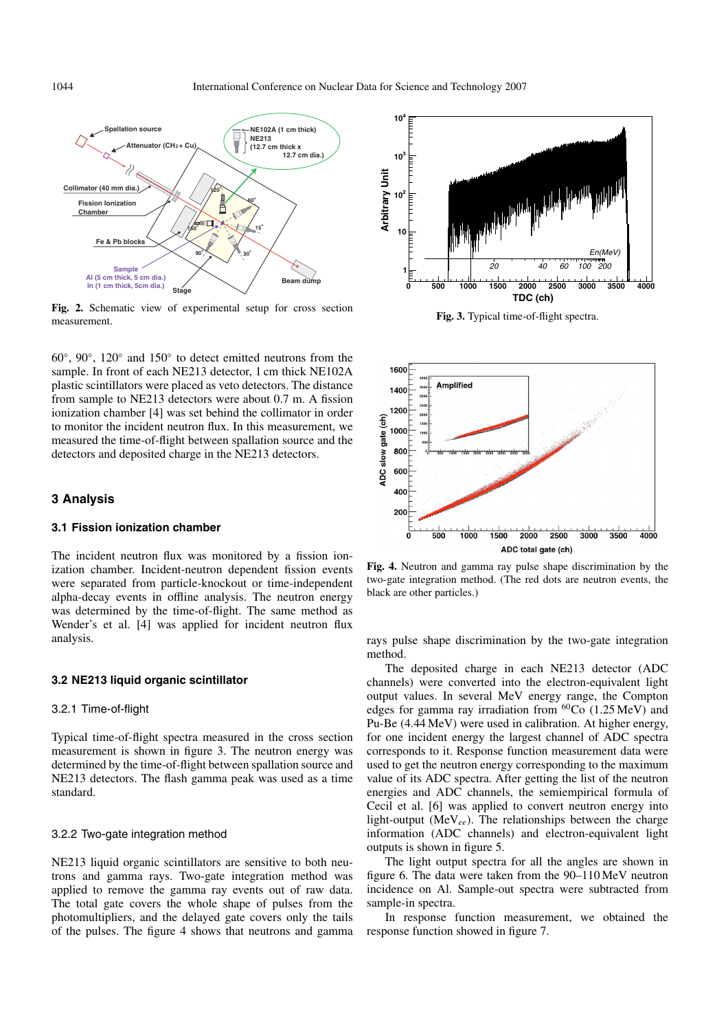

**Fig. 2.** Schematic view of experimental setup for cross section measurement.

60◦, 90◦, 120◦ and 150◦ to detect emitted neutrons from the sample. In front of each NE213 detector, 1 cm thick NE102A plastic scintillators were placed as veto detectors. The distance from sample to NE213 detectors were about 0.7 m. A fission ionization chamber [4] was set behind the collimator in order to monitor the incident neutron flux. In this measurement, we measured the time-of-flight between spallation source and the detectors and deposited charge in the NE213 detectors.

## **3 Analysis**

## **3.1 Fission ionization chamber**

The incident neutron flux was monitored by a fission ionization chamber. Incident-neutron dependent fission events were separated from particle-knockout or time-independent alpha-decay events in offline analysis. The neutron energy was determined by the time-of-flight. The same method as Wender's et al. [4] was applied for incident neutron flux analysis.

#### **3.2 NE213 liquid organic scintillator**

#### 3.2.1 Time-of-flight

Typical time-of-flight spectra measured in the cross section measurement is shown in figure 3. The neutron energy was determined by the time-of-flight between spallation source and NE213 detectors. The flash gamma peak was used as a time standard.

#### 3.2.2 Two-gate integration method

NE213 liquid organic scintillators are sensitive to both neutrons and gamma rays. Two-gate integration method was applied to remove the gamma ray events out of raw data. The total gate covers the whole shape of pulses from the photomultipliers, and the delayed gate covers only the tails of the pulses. The figure 4 shows that neutrons and gamma



**Fig. 3.** Typical time-of-flight spectra.



**Fig. 4.** Neutron and gamma ray pulse shape discrimination by the two-gate integration method. (The red dots are neutron events, the black are other particles.)

rays pulse shape discrimination by the two-gate integration method.

The deposited charge in each NE213 detector (ADC channels) were converted into the electron-equivalent light output values. In several MeV energy range, the Compton edges for gamma ray irradiation from  ${}^{60}Co$  (1.25 MeV) and Pu-Be (4.44 MeV) were used in calibration. At higher energy, for one incident energy the largest channel of ADC spectra corresponds to it. Response function measurement data were used to get the neutron energy corresponding to the maximum value of its ADC spectra. After getting the list of the neutron energies and ADC channels, the semiempirical formula of Cecil et al. [6] was applied to convert neutron energy into light-output (MeV*ee*). The relationships between the charge information (ADC channels) and electron-equivalent light outputs is shown in figure 5.

The light output spectra for all the angles are shown in figure 6. The data were taken from the 90–110 MeV neutron incidence on Al. Sample-out spectra were subtracted from sample-in spectra.

In response function measurement, we obtained the response function showed in figure 7.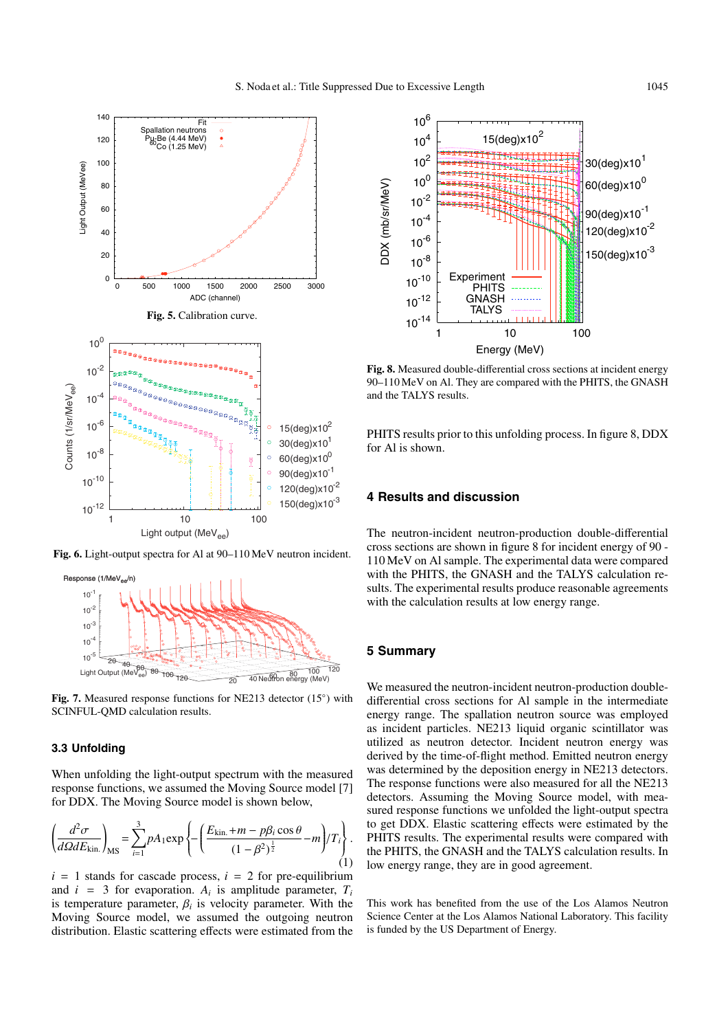

**Fig. 6.** Light-output spectra for Al at 90–110 MeV neutron incident.



**Fig. 7.** Measured response functions for NE213 detector (15◦) with SCINFUL-QMD calculation results.

#### **3.3 Unfolding**

When unfolding the light-output spectrum with the measured response functions, we assumed the Moving Source model [7] for DDX. The Moving Source model is shown below,

$$
\left(\frac{d^2\sigma}{d\Omega dE_{\text{kin.}}}\right)_{\text{MS}} = \sum_{i=1}^3 pA_1 \exp\left\{-\left(\frac{E_{\text{kin.}} + m - p\beta_i \cos \theta}{(1 - \beta^2)^{\frac{1}{2}}} - m\right) / T_i\right\}.
$$
\n(1)

 $i = 1$  stands for cascade process,  $i = 2$  for pre-equilibrium and  $i = 3$  for evaporation.  $A_i$  is amplitude parameter,  $T_i$ is temperature parameter,  $\beta_i$  is velocity parameter. With the Moving Source model, we assumed the outgoing neutron distribution. Elastic scattering effects were estimated from the



**Fig. 8.** Measured double-differential cross sections at incident energy 90–110 MeV on Al. They are compared with the PHITS, the GNASH and the TALYS results.

PHITS results prior to this unfolding process. In figure 8, DDX for Al is shown.

## **4 Results and discussion**

The neutron-incident neutron-production double-differential cross sections are shown in figure 8 for incident energy of 90 - 110 MeV on Al sample. The experimental data were compared with the PHITS, the GNASH and the TALYS calculation results. The experimental results produce reasonable agreements with the calculation results at low energy range.

# **5 Summary**

We measured the neutron-incident neutron-production doubledifferential cross sections for Al sample in the intermediate energy range. The spallation neutron source was employed as incident particles. NE213 liquid organic scintillator was utilized as neutron detector. Incident neutron energy was derived by the time-of-flight method. Emitted neutron energy was determined by the deposition energy in NE213 detectors. The response functions were also measured for all the NE213 detectors. Assuming the Moving Source model, with measured response functions we unfolded the light-output spectra to get DDX. Elastic scattering effects were estimated by the PHITS results. The experimental results were compared with the PHITS, the GNASH and the TALYS calculation results. In low energy range, they are in good agreement.

This work has benefited from the use of the Los Alamos Neutron Science Center at the Los Alamos National Laboratory. This facility is funded by the US Department of Energy.